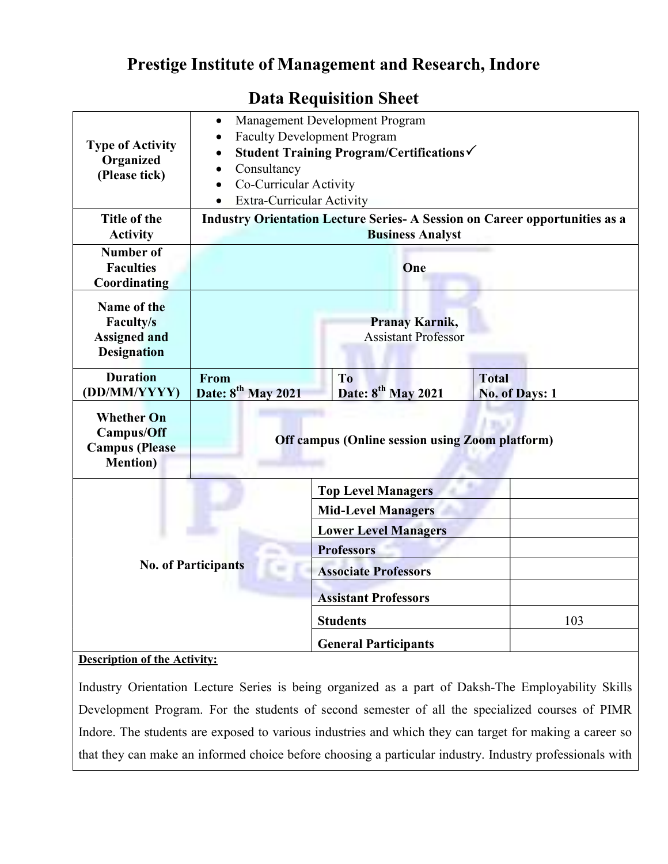## Prestige Institute of Management and Research, Indore

| <b>Type of Activity</b><br>Organized<br>(Please tick)                        | Management Development Program<br>$\bullet$<br><b>Faculty Development Program</b><br>$\bullet$<br>Student Training Program/Certifications√<br>$\bullet$<br>Consultancy<br>$\bullet$<br>Co-Curricular Activity<br>$\bullet$<br>Extra-Curricular Activity<br>$\bullet$ |                                                  |                                |     |  |
|------------------------------------------------------------------------------|----------------------------------------------------------------------------------------------------------------------------------------------------------------------------------------------------------------------------------------------------------------------|--------------------------------------------------|--------------------------------|-----|--|
| Title of the<br><b>Activity</b>                                              | <b>Industry Orientation Lecture Series- A Session on Career opportunities as a</b><br><b>Business Analyst</b>                                                                                                                                                        |                                                  |                                |     |  |
| <b>Number of</b><br><b>Faculties</b><br>Coordinating                         | One                                                                                                                                                                                                                                                                  |                                                  |                                |     |  |
| Name of the<br>Faculty/s<br><b>Assigned and</b><br><b>Designation</b>        | Pranay Karnik,<br><b>Assistant Professor</b>                                                                                                                                                                                                                         |                                                  |                                |     |  |
| <b>Duration</b><br>(DD/MM/YYYY)                                              | From<br>Date: 8 <sup>th</sup> May 2021                                                                                                                                                                                                                               | T <sub>o</sub><br>Date: 8 <sup>th</sup> May 2021 | <b>Total</b><br>No. of Days: 1 |     |  |
| <b>Whether On</b><br>Campus/Off<br><b>Campus</b> (Please<br><b>Mention</b> ) | <b>Off campus (Online session using Zoom platform)</b>                                                                                                                                                                                                               |                                                  |                                |     |  |
|                                                                              |                                                                                                                                                                                                                                                                      | <b>Top Level Managers</b>                        |                                |     |  |
|                                                                              | <b>Mid-Level Managers</b><br><b>Lower Level Managers</b>                                                                                                                                                                                                             |                                                  |                                |     |  |
|                                                                              |                                                                                                                                                                                                                                                                      | <b>Professors</b>                                |                                |     |  |
| <b>No. of Participants</b><br><b>Associate Professors</b>                    |                                                                                                                                                                                                                                                                      |                                                  |                                |     |  |
|                                                                              |                                                                                                                                                                                                                                                                      | <b>Assistant Professors</b>                      |                                |     |  |
|                                                                              |                                                                                                                                                                                                                                                                      | <b>Students</b>                                  |                                | 103 |  |
| <b>Description of the Activity:</b>                                          |                                                                                                                                                                                                                                                                      | <b>General Participants</b>                      |                                |     |  |

## Data Requisition Sheet

Industry Orientation Lecture Series is being organized as a part of Daksh-The Employability Skills Development Program. For the students of second semester of all the specialized courses of PIMR Indore. The students are exposed to various industries and which they can target for making a career so that they can make an informed choice before choosing a particular industry. Industry professionals with